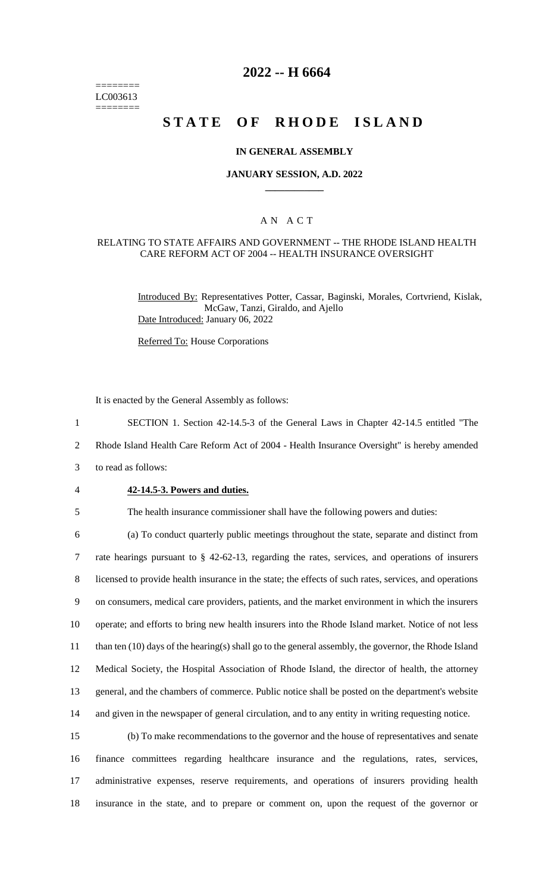======== LC003613 ========

# **2022 -- H 6664**

# **STATE OF RHODE ISLAND**

### **IN GENERAL ASSEMBLY**

### **JANUARY SESSION, A.D. 2022 \_\_\_\_\_\_\_\_\_\_\_\_**

## A N A C T

#### RELATING TO STATE AFFAIRS AND GOVERNMENT -- THE RHODE ISLAND HEALTH CARE REFORM ACT OF 2004 -- HEALTH INSURANCE OVERSIGHT

Introduced By: Representatives Potter, Cassar, Baginski, Morales, Cortvriend, Kislak, McGaw, Tanzi, Giraldo, and Ajello Date Introduced: January 06, 2022

Referred To: House Corporations

It is enacted by the General Assembly as follows:

1 SECTION 1. Section 42-14.5-3 of the General Laws in Chapter 42-14.5 entitled "The

2 Rhode Island Health Care Reform Act of 2004 - Health Insurance Oversight" is hereby amended

- 3 to read as follows:
- 

## 4 **42-14.5-3. Powers and duties.**

5 The health insurance commissioner shall have the following powers and duties:

 (a) To conduct quarterly public meetings throughout the state, separate and distinct from rate hearings pursuant to § 42-62-13, regarding the rates, services, and operations of insurers licensed to provide health insurance in the state; the effects of such rates, services, and operations on consumers, medical care providers, patients, and the market environment in which the insurers operate; and efforts to bring new health insurers into the Rhode Island market. Notice of not less than ten (10) days of the hearing(s) shall go to the general assembly, the governor, the Rhode Island Medical Society, the Hospital Association of Rhode Island, the director of health, the attorney general, and the chambers of commerce. Public notice shall be posted on the department's website and given in the newspaper of general circulation, and to any entity in writing requesting notice.

 (b) To make recommendations to the governor and the house of representatives and senate finance committees regarding healthcare insurance and the regulations, rates, services, administrative expenses, reserve requirements, and operations of insurers providing health insurance in the state, and to prepare or comment on, upon the request of the governor or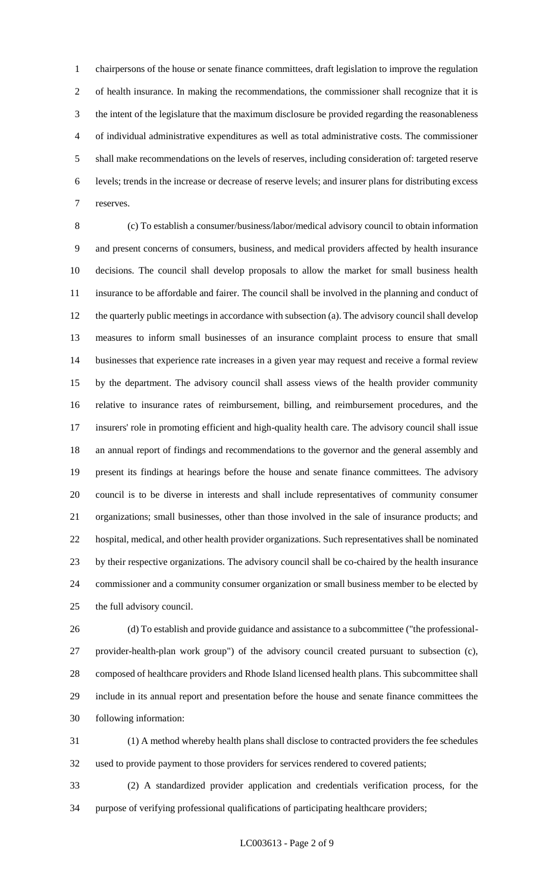chairpersons of the house or senate finance committees, draft legislation to improve the regulation of health insurance. In making the recommendations, the commissioner shall recognize that it is the intent of the legislature that the maximum disclosure be provided regarding the reasonableness of individual administrative expenditures as well as total administrative costs. The commissioner shall make recommendations on the levels of reserves, including consideration of: targeted reserve levels; trends in the increase or decrease of reserve levels; and insurer plans for distributing excess reserves.

 (c) To establish a consumer/business/labor/medical advisory council to obtain information and present concerns of consumers, business, and medical providers affected by health insurance decisions. The council shall develop proposals to allow the market for small business health insurance to be affordable and fairer. The council shall be involved in the planning and conduct of the quarterly public meetings in accordance with subsection (a). The advisory council shall develop measures to inform small businesses of an insurance complaint process to ensure that small businesses that experience rate increases in a given year may request and receive a formal review by the department. The advisory council shall assess views of the health provider community relative to insurance rates of reimbursement, billing, and reimbursement procedures, and the insurers' role in promoting efficient and high-quality health care. The advisory council shall issue an annual report of findings and recommendations to the governor and the general assembly and present its findings at hearings before the house and senate finance committees. The advisory council is to be diverse in interests and shall include representatives of community consumer organizations; small businesses, other than those involved in the sale of insurance products; and hospital, medical, and other health provider organizations. Such representatives shall be nominated by their respective organizations. The advisory council shall be co-chaired by the health insurance commissioner and a community consumer organization or small business member to be elected by the full advisory council.

 (d) To establish and provide guidance and assistance to a subcommittee ("the professional- provider-health-plan work group") of the advisory council created pursuant to subsection (c), composed of healthcare providers and Rhode Island licensed health plans. This subcommittee shall include in its annual report and presentation before the house and senate finance committees the following information:

 (1) A method whereby health plans shall disclose to contracted providers the fee schedules used to provide payment to those providers for services rendered to covered patients;

 (2) A standardized provider application and credentials verification process, for the purpose of verifying professional qualifications of participating healthcare providers;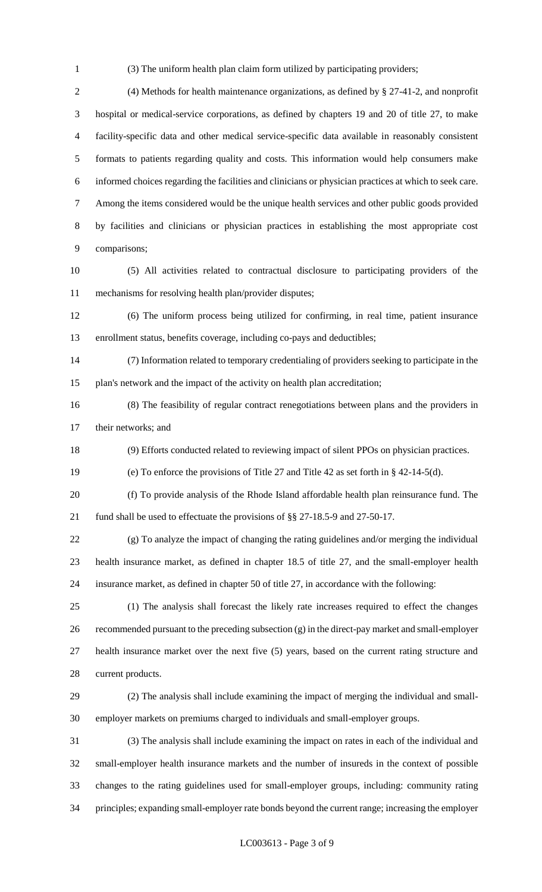(3) The uniform health plan claim form utilized by participating providers;

 (4) Methods for health maintenance organizations, as defined by § 27-41-2, and nonprofit hospital or medical-service corporations, as defined by chapters 19 and 20 of title 27, to make facility-specific data and other medical service-specific data available in reasonably consistent formats to patients regarding quality and costs. This information would help consumers make informed choices regarding the facilities and clinicians or physician practices at which to seek care. Among the items considered would be the unique health services and other public goods provided by facilities and clinicians or physician practices in establishing the most appropriate cost comparisons;

 (5) All activities related to contractual disclosure to participating providers of the mechanisms for resolving health plan/provider disputes;

 (6) The uniform process being utilized for confirming, in real time, patient insurance enrollment status, benefits coverage, including co-pays and deductibles;

 (7) Information related to temporary credentialing of providers seeking to participate in the plan's network and the impact of the activity on health plan accreditation;

 (8) The feasibility of regular contract renegotiations between plans and the providers in their networks; and

(9) Efforts conducted related to reviewing impact of silent PPOs on physician practices.

(e) To enforce the provisions of Title 27 and Title 42 as set forth in § 42-14-5(d).

 (f) To provide analysis of the Rhode Island affordable health plan reinsurance fund. The fund shall be used to effectuate the provisions of §§ 27-18.5-9 and 27-50-17.

 (g) To analyze the impact of changing the rating guidelines and/or merging the individual health insurance market, as defined in chapter 18.5 of title 27, and the small-employer health insurance market, as defined in chapter 50 of title 27, in accordance with the following:

 (1) The analysis shall forecast the likely rate increases required to effect the changes recommended pursuant to the preceding subsection (g) in the direct-pay market and small-employer health insurance market over the next five (5) years, based on the current rating structure and current products.

 (2) The analysis shall include examining the impact of merging the individual and small-employer markets on premiums charged to individuals and small-employer groups.

 (3) The analysis shall include examining the impact on rates in each of the individual and small-employer health insurance markets and the number of insureds in the context of possible changes to the rating guidelines used for small-employer groups, including: community rating principles; expanding small-employer rate bonds beyond the current range; increasing the employer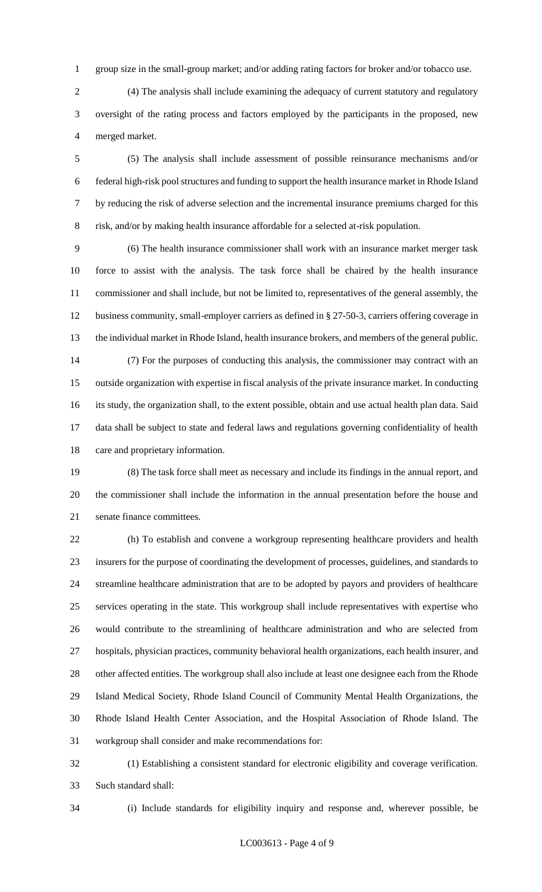group size in the small-group market; and/or adding rating factors for broker and/or tobacco use.

 (4) The analysis shall include examining the adequacy of current statutory and regulatory oversight of the rating process and factors employed by the participants in the proposed, new merged market.

 (5) The analysis shall include assessment of possible reinsurance mechanisms and/or federal high-risk pool structures and funding to support the health insurance market in Rhode Island by reducing the risk of adverse selection and the incremental insurance premiums charged for this risk, and/or by making health insurance affordable for a selected at-risk population.

 (6) The health insurance commissioner shall work with an insurance market merger task force to assist with the analysis. The task force shall be chaired by the health insurance commissioner and shall include, but not be limited to, representatives of the general assembly, the business community, small-employer carriers as defined in § 27-50-3, carriers offering coverage in the individual market in Rhode Island, health insurance brokers, and members of the general public. (7) For the purposes of conducting this analysis, the commissioner may contract with an outside organization with expertise in fiscal analysis of the private insurance market. In conducting its study, the organization shall, to the extent possible, obtain and use actual health plan data. Said data shall be subject to state and federal laws and regulations governing confidentiality of health

care and proprietary information.

 (8) The task force shall meet as necessary and include its findings in the annual report, and the commissioner shall include the information in the annual presentation before the house and senate finance committees.

 (h) To establish and convene a workgroup representing healthcare providers and health insurers for the purpose of coordinating the development of processes, guidelines, and standards to streamline healthcare administration that are to be adopted by payors and providers of healthcare services operating in the state. This workgroup shall include representatives with expertise who would contribute to the streamlining of healthcare administration and who are selected from hospitals, physician practices, community behavioral health organizations, each health insurer, and other affected entities. The workgroup shall also include at least one designee each from the Rhode Island Medical Society, Rhode Island Council of Community Mental Health Organizations, the Rhode Island Health Center Association, and the Hospital Association of Rhode Island. The workgroup shall consider and make recommendations for:

 (1) Establishing a consistent standard for electronic eligibility and coverage verification. Such standard shall:

(i) Include standards for eligibility inquiry and response and, wherever possible, be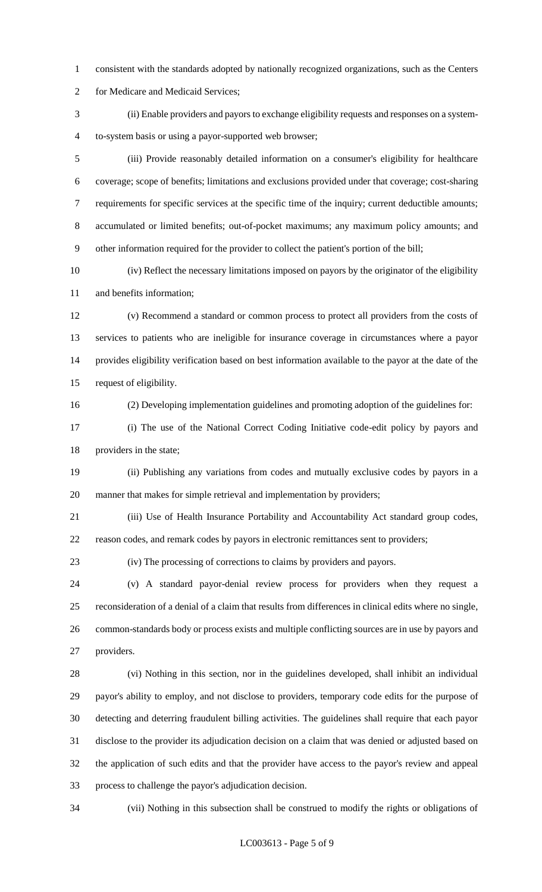consistent with the standards adopted by nationally recognized organizations, such as the Centers

for Medicare and Medicaid Services;

 (ii) Enable providers and payors to exchange eligibility requests and responses on a system-to-system basis or using a payor-supported web browser;

 (iii) Provide reasonably detailed information on a consumer's eligibility for healthcare coverage; scope of benefits; limitations and exclusions provided under that coverage; cost-sharing requirements for specific services at the specific time of the inquiry; current deductible amounts; accumulated or limited benefits; out-of-pocket maximums; any maximum policy amounts; and other information required for the provider to collect the patient's portion of the bill;

 (iv) Reflect the necessary limitations imposed on payors by the originator of the eligibility and benefits information;

 (v) Recommend a standard or common process to protect all providers from the costs of services to patients who are ineligible for insurance coverage in circumstances where a payor provides eligibility verification based on best information available to the payor at the date of the request of eligibility.

(2) Developing implementation guidelines and promoting adoption of the guidelines for:

 (i) The use of the National Correct Coding Initiative code-edit policy by payors and providers in the state;

 (ii) Publishing any variations from codes and mutually exclusive codes by payors in a manner that makes for simple retrieval and implementation by providers;

 (iii) Use of Health Insurance Portability and Accountability Act standard group codes, reason codes, and remark codes by payors in electronic remittances sent to providers;

(iv) The processing of corrections to claims by providers and payors.

 (v) A standard payor-denial review process for providers when they request a reconsideration of a denial of a claim that results from differences in clinical edits where no single, common-standards body or process exists and multiple conflicting sources are in use by payors and providers.

 (vi) Nothing in this section, nor in the guidelines developed, shall inhibit an individual payor's ability to employ, and not disclose to providers, temporary code edits for the purpose of detecting and deterring fraudulent billing activities. The guidelines shall require that each payor disclose to the provider its adjudication decision on a claim that was denied or adjusted based on the application of such edits and that the provider have access to the payor's review and appeal process to challenge the payor's adjudication decision.

(vii) Nothing in this subsection shall be construed to modify the rights or obligations of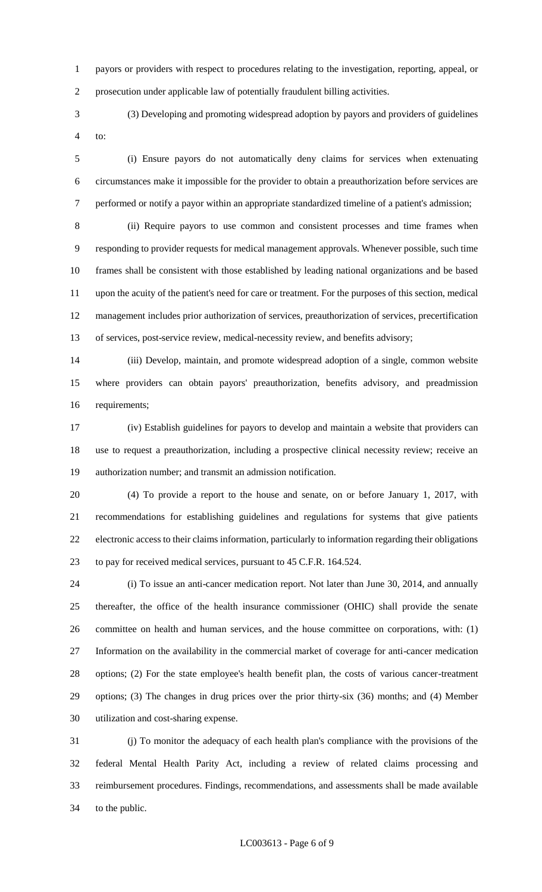payors or providers with respect to procedures relating to the investigation, reporting, appeal, or prosecution under applicable law of potentially fraudulent billing activities.

 (3) Developing and promoting widespread adoption by payors and providers of guidelines to:

 (i) Ensure payors do not automatically deny claims for services when extenuating circumstances make it impossible for the provider to obtain a preauthorization before services are performed or notify a payor within an appropriate standardized timeline of a patient's admission;

 (ii) Require payors to use common and consistent processes and time frames when responding to provider requests for medical management approvals. Whenever possible, such time frames shall be consistent with those established by leading national organizations and be based upon the acuity of the patient's need for care or treatment. For the purposes of this section, medical management includes prior authorization of services, preauthorization of services, precertification of services, post-service review, medical-necessity review, and benefits advisory;

 (iii) Develop, maintain, and promote widespread adoption of a single, common website where providers can obtain payors' preauthorization, benefits advisory, and preadmission requirements;

 (iv) Establish guidelines for payors to develop and maintain a website that providers can use to request a preauthorization, including a prospective clinical necessity review; receive an authorization number; and transmit an admission notification.

 (4) To provide a report to the house and senate, on or before January 1, 2017, with recommendations for establishing guidelines and regulations for systems that give patients electronic access to their claims information, particularly to information regarding their obligations to pay for received medical services, pursuant to 45 C.F.R. 164.524.

 (i) To issue an anti-cancer medication report. Not later than June 30, 2014, and annually thereafter, the office of the health insurance commissioner (OHIC) shall provide the senate committee on health and human services, and the house committee on corporations, with: (1) Information on the availability in the commercial market of coverage for anti-cancer medication options; (2) For the state employee's health benefit plan, the costs of various cancer-treatment options; (3) The changes in drug prices over the prior thirty-six (36) months; and (4) Member utilization and cost-sharing expense.

 (j) To monitor the adequacy of each health plan's compliance with the provisions of the federal Mental Health Parity Act, including a review of related claims processing and reimbursement procedures. Findings, recommendations, and assessments shall be made available to the public.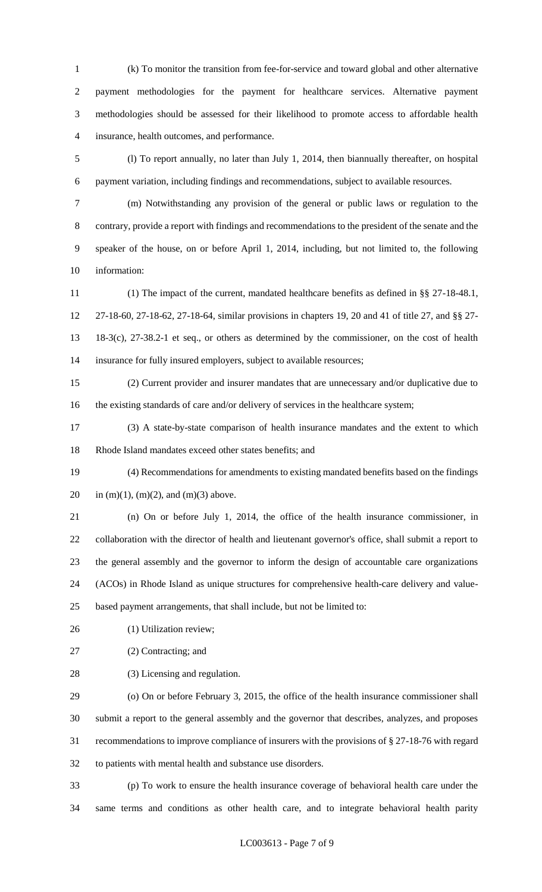(k) To monitor the transition from fee-for-service and toward global and other alternative payment methodologies for the payment for healthcare services. Alternative payment methodologies should be assessed for their likelihood to promote access to affordable health insurance, health outcomes, and performance.

 (l) To report annually, no later than July 1, 2014, then biannually thereafter, on hospital payment variation, including findings and recommendations, subject to available resources.

 (m) Notwithstanding any provision of the general or public laws or regulation to the contrary, provide a report with findings and recommendations to the president of the senate and the speaker of the house, on or before April 1, 2014, including, but not limited to, the following information:

 (1) The impact of the current, mandated healthcare benefits as defined in §§ 27-18-48.1, 27-18-60, 27-18-62, 27-18-64, similar provisions in chapters 19, 20 and 41 of title 27, and §§ 27- 18-3(c), 27-38.2-1 et seq., or others as determined by the commissioner, on the cost of health insurance for fully insured employers, subject to available resources;

 (2) Current provider and insurer mandates that are unnecessary and/or duplicative due to the existing standards of care and/or delivery of services in the healthcare system;

 (3) A state-by-state comparison of health insurance mandates and the extent to which Rhode Island mandates exceed other states benefits; and

 (4) Recommendations for amendments to existing mandated benefits based on the findings 20 in (m)(1), (m)(2), and (m)(3) above.

 (n) On or before July 1, 2014, the office of the health insurance commissioner, in collaboration with the director of health and lieutenant governor's office, shall submit a report to the general assembly and the governor to inform the design of accountable care organizations (ACOs) in Rhode Island as unique structures for comprehensive health-care delivery and value-based payment arrangements, that shall include, but not be limited to:

(1) Utilization review;

(2) Contracting; and

(3) Licensing and regulation.

 (o) On or before February 3, 2015, the office of the health insurance commissioner shall submit a report to the general assembly and the governor that describes, analyzes, and proposes recommendations to improve compliance of insurers with the provisions of § 27-18-76 with regard to patients with mental health and substance use disorders.

 (p) To work to ensure the health insurance coverage of behavioral health care under the same terms and conditions as other health care, and to integrate behavioral health parity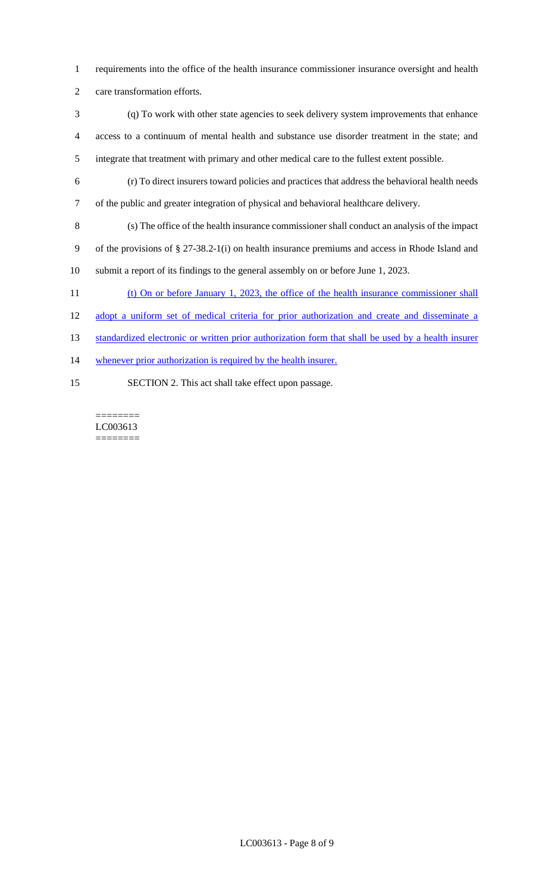- requirements into the office of the health insurance commissioner insurance oversight and health
- care transformation efforts.
- (q) To work with other state agencies to seek delivery system improvements that enhance access to a continuum of mental health and substance use disorder treatment in the state; and integrate that treatment with primary and other medical care to the fullest extent possible.
- (r) To direct insurers toward policies and practices that address the behavioral health needs
- of the public and greater integration of physical and behavioral healthcare delivery.
- (s) The office of the health insurance commissioner shall conduct an analysis of the impact of the provisions of § 27-38.2-1(i) on health insurance premiums and access in Rhode Island and submit a report of its findings to the general assembly on or before June 1, 2023.
- 
- 11 (t) On or before January 1, 2023, the office of the health insurance commissioner shall
- adopt a uniform set of medical criteria for prior authorization and create and disseminate a
- 13 standardized electronic or written prior authorization form that shall be used by a health insurer
- 14 whenever prior authorization is required by the health insurer.
- SECTION 2. This act shall take effect upon passage.

======== LC003613 ========